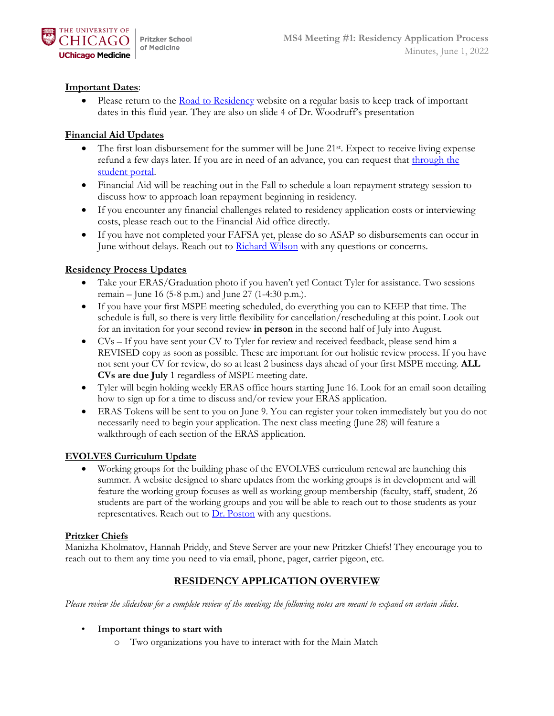

## **Important Dates**:

 $\bullet$  Please return to the [Road to Residency](https://pritzker.uchicago.edu/resources/road-residency) website on a regular basis to keep track of important dates in this fluid year. They are also on slide 4 of Dr. Woodruff's presentation

#### **Financial Aid Updates**

- The first loan disbursement for the summer will be June 21st. Expect to receive living expense refund a few days later. If you are in need of an advance, you can request that through the [student portal.](https://bursar.uchicago.edu/emergency-assistance-programs/)
- Financial Aid will be reaching out in the Fall to schedule a loan repayment strategy session to discuss how to approach loan repayment beginning in residency.
- If you encounter any financial challenges related to residency application costs or interviewing costs, please reach out to the Financial Aid office directly.
- If you have not completed your FAFSA yet, please do so ASAP so disbursements can occur in June without delays. Reach out to [Richard Wilson](mailto:rtwilson@bsd.uchicago.edu) with any questions or concerns.

### **Residency Process Updates**

- Take your ERAS/Graduation photo if you haven't yet! Contact Tyler for assistance. Two sessions remain – June 16 (5-8 p.m.) and June 27 (1-4:30 p.m.).
- If you have your first MSPE meeting scheduled, do everything you can to KEEP that time. The schedule is full, so there is very little flexibility for cancellation/rescheduling at this point. Look out for an invitation for your second review **in person** in the second half of July into August.
- CVs If you have sent your CV to Tyler for review and received feedback, please send him a REVISED copy as soon as possible. These are important for our holistic review process. If you have not sent your CV for review, do so at least 2 business days ahead of your first MSPE meeting. **ALL CVs are due July** 1 regardless of MSPE meeting date.
- Tyler will begin holding weekly ERAS office hours starting June 16. Look for an email soon detailing how to sign up for a time to discuss and/or review your ERAS application.
- ERAS Tokens will be sent to you on June 9. You can register your token immediately but you do not necessarily need to begin your application. The next class meeting (June 28) will feature a walkthrough of each section of the ERAS application.

#### **EVOLVES Curriculum Update**

 Working groups for the building phase of the EVOLVES curriculum renewal are launching this summer. A website designed to share updates from the working groups is in development and will feature the working group focuses as well as working group membership (faculty, staff, student, 26 students are part of the working groups and you will be able to reach out to those students as your representatives. Reach out to  $Dr$ . Poston with any questions.

#### **Pritzker Chiefs**

Manizha Kholmatov, Hannah Priddy, and Steve Server are your new Pritzker Chiefs! They encourage you to reach out to them any time you need to via email, phone, pager, carrier pigeon, etc.

## **RESIDENCY APPLICATION OVERVIEW**

*Please review the slideshow for a complete review of the meeting; the following notes are meant to expand on certain slides.* 

#### • **Important things to start with**

o Two organizations you have to interact with for the Main Match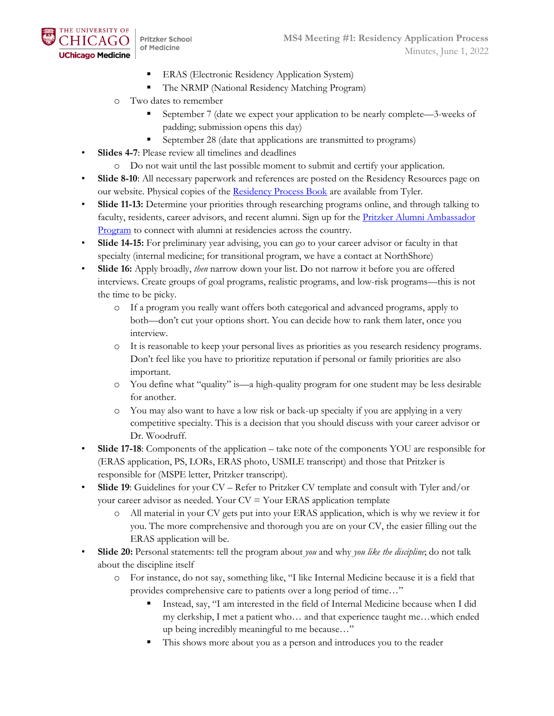

**Pritzker School** of Medicine

- **ERAS** (Electronic Residency Application System)
- The NRMP (National Residency Matching Program)
- o Two dates to remember
	- September 7 (date we expect your application to be nearly complete—3-weeks of padding; submission opens this day)
	- September 28 (date that applications are transmitted to programs)
- **Slides 4-7**: Please review all timelines and deadlines
	- o Do not wait until the last possible moment to submit and certify your application.
- **Slide 8-10**: All necessary paperwork and references are posted on the Residency Resources page on our website. Physical copies of the [Residency Process Book](https://d54gi6idwcev6.cloudfront.net/sites/pritzker/files/2022-03/2022-2023%20Residency%20Process%20Book%20FINAL_2.pdf) are available from Tyler.
- **Slide 11-13:** Determine your priorities through researching programs online, and through talking to faculty, residents, career advisors, and recent alumni. Sign up for the Pritzker Alumni Ambassador [Program](https://mbsaa.uchicago.edu/help-a-student/#:~:text=Pritzker%20School%20of%20Medicine%20Alumni,connect%20with%20fellow%20Pritzker%20alumni.) to connect with alumni at residencies across the country.
- **Slide 14-15:** For preliminary year advising, you can go to your career advisor or faculty in that specialty (internal medicine; for transitional program, we have a contact at NorthShore)
- **Slide 16:** Apply broadly, *then* narrow down your list. Do not narrow it before you are offered interviews. Create groups of goal programs, realistic programs, and low-risk programs—this is not the time to be picky.
	- o If a program you really want offers both categorical and advanced programs, apply to both—don't cut your options short. You can decide how to rank them later, once you interview.
	- o It is reasonable to keep your personal lives as priorities as you research residency programs. Don't feel like you have to prioritize reputation if personal or family priorities are also important.
	- o You define what "quality" is—a high-quality program for one student may be less desirable for another.
	- o You may also want to have a low risk or back-up specialty if you are applying in a very competitive specialty. This is a decision that you should discuss with your career advisor or Dr. Woodruff.
- **Slide 17-18**: Components of the application take note of the components YOU are responsible for (ERAS application, PS, LORs, ERAS photo, USMLE transcript) and those that Pritzker is responsible for (MSPE letter, Pritzker transcript).
- **Slide 19**: Guidelines for your CV Refer to Pritzker CV template and consult with Tyler and/or your career advisor as needed. Your  $CV = Your$  ERAS application template
	- o All material in your CV gets put into your ERAS application, which is why we review it for you. The more comprehensive and thorough you are on your CV, the easier filling out the ERAS application will be.
- **Slide 20:** Personal statements: tell the program about *you* and why *you like the discipline*; do not talk about the discipline itself
	- o For instance, do not say, something like, "I like Internal Medicine because it is a field that provides comprehensive care to patients over a long period of time…"
		- Instead, say, "I am interested in the field of Internal Medicine because when I did my clerkship, I met a patient who… and that experience taught me…which ended up being incredibly meaningful to me because…"
		- This shows more about you as a person and introduces you to the reader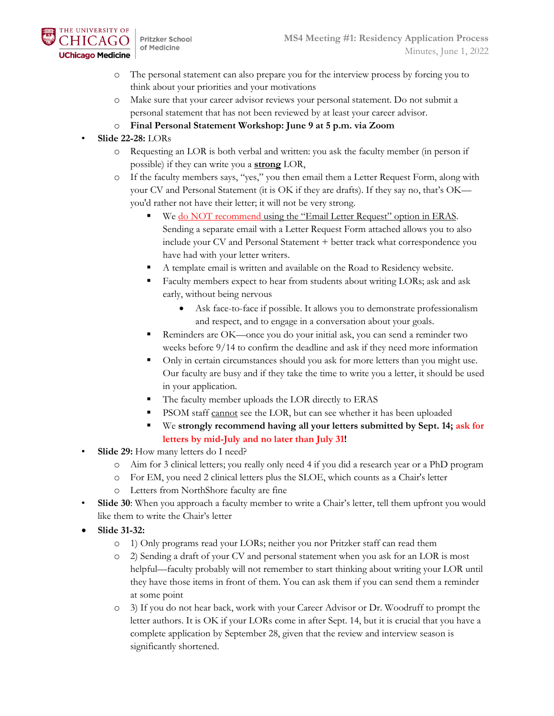

**Pritzker School** of Medicine

- o The personal statement can also prepare you for the interview process by forcing you to think about your priorities and your motivations
- o Make sure that your career advisor reviews your personal statement. Do not submit a personal statement that has not been reviewed by at least your career advisor.
- o **Final Personal Statement Workshop: June 9 at 5 p.m. via Zoom**
- **Slide 22-28:** LORs
	- Requesting an LOR is both verbal and written: you ask the faculty member (in person if possible) if they can write you a **strong** LOR,
	- o If the faculty members says, "yes," you then email them a Letter Request Form, along with your CV and Personal Statement (it is OK if they are drafts). If they say no, that's OK you'd rather not have their letter; it will not be very strong.
		- We do NOT recommend using the "Email Letter Request" option in ERAS. Sending a separate email with a Letter Request Form attached allows you to also include your CV and Personal Statement + better track what correspondence you have had with your letter writers.
		- A template email is written and available on the Road to Residency website.
		- Faculty members expect to hear from students about writing LORs; ask and ask early, without being nervous
			- Ask face-to-face if possible. It allows you to demonstrate professionalism and respect, and to engage in a conversation about your goals.
		- Reminders are OK—once you do your initial ask, you can send a reminder two weeks before 9/14 to confirm the deadline and ask if they need more information
		- Only in certain circumstances should you ask for more letters than you might use. Our faculty are busy and if they take the time to write you a letter, it should be used in your application.
		- The faculty member uploads the LOR directly to ERAS
		- PSOM staff cannot see the LOR, but can see whether it has been uploaded
		- We **strongly recommend having all your letters submitted by Sept. 14; ask for letters by mid-July and no later than July 31!**
- **Slide 29:** How many letters do I need?
	- o Aim for 3 clinical letters; you really only need 4 if you did a research year or a PhD program
	- o For EM, you need 2 clinical letters plus the SLOE, which counts as a Chair's letter
	- o Letters from NorthShore faculty are fine
- **Slide 30**: When you approach a faculty member to write a Chair's letter, tell them upfront you would like them to write the Chair's letter
- **Slide 31-32:**
	- o 1) Only programs read your LORs; neither you nor Pritzker staff can read them
	- o 2) Sending a draft of your CV and personal statement when you ask for an LOR is most helpful—faculty probably will not remember to start thinking about writing your LOR until they have those items in front of them. You can ask them if you can send them a reminder at some point
	- o 3) If you do not hear back, work with your Career Advisor or Dr. Woodruff to prompt the letter authors. It is OK if your LORs come in after Sept. 14, but it is crucial that you have a complete application by September 28, given that the review and interview season is significantly shortened.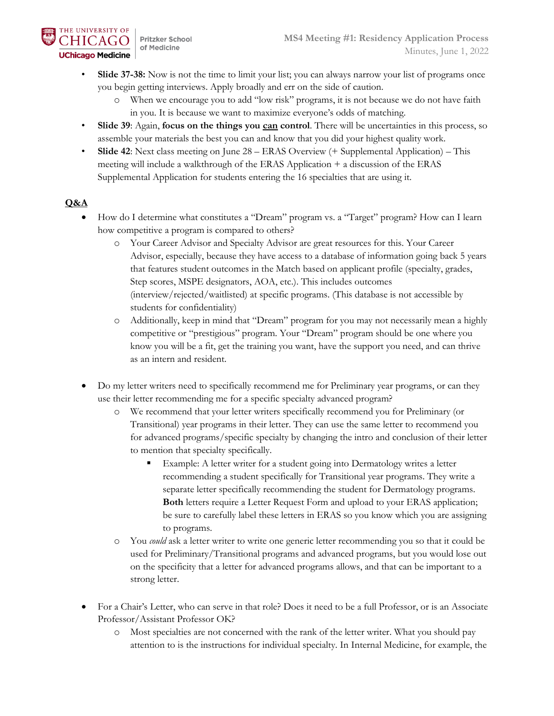- Slide 37-38: Now is not the time to limit your list; you can always narrow your list of programs once you begin getting interviews. Apply broadly and err on the side of caution.
	- o When we encourage you to add "low risk" programs, it is not because we do not have faith in you. It is because we want to maximize everyone's odds of matching.
- **Slide 39**: Again, **focus on the things you can control**. There will be uncertainties in this process, so assemble your materials the best you can and know that you did your highest quality work.
- **Slide 42**: Next class meeting on June 28 ERAS Overview (+ Supplemental Application) This meeting will include a walkthrough of the ERAS Application + a discussion of the ERAS Supplemental Application for students entering the 16 specialties that are using it.

# **Q&A**

- How do I determine what constitutes a "Dream" program vs. a "Target" program? How can I learn how competitive a program is compared to others?
	- o Your Career Advisor and Specialty Advisor are great resources for this. Your Career Advisor, especially, because they have access to a database of information going back 5 years that features student outcomes in the Match based on applicant profile (specialty, grades, Step scores, MSPE designators, AOA, etc.). This includes outcomes (interview/rejected/waitlisted) at specific programs. (This database is not accessible by students for confidentiality)
	- o Additionally, keep in mind that "Dream" program for you may not necessarily mean a highly competitive or "prestigious" program. Your "Dream" program should be one where you know you will be a fit, get the training you want, have the support you need, and can thrive as an intern and resident.
- Do my letter writers need to specifically recommend me for Preliminary year programs, or can they use their letter recommending me for a specific specialty advanced program?
	- o We recommend that your letter writers specifically recommend you for Preliminary (or Transitional) year programs in their letter. They can use the same letter to recommend you for advanced programs/specific specialty by changing the intro and conclusion of their letter to mention that specialty specifically.
		- Example: A letter writer for a student going into Dermatology writes a letter recommending a student specifically for Transitional year programs. They write a separate letter specifically recommending the student for Dermatology programs. **Both** letters require a Letter Request Form and upload to your ERAS application; be sure to carefully label these letters in ERAS so you know which you are assigning to programs.
	- o You *could* ask a letter writer to write one generic letter recommending you so that it could be used for Preliminary/Transitional programs and advanced programs, but you would lose out on the specificity that a letter for advanced programs allows, and that can be important to a strong letter.
- For a Chair's Letter, who can serve in that role? Does it need to be a full Professor, or is an Associate Professor/Assistant Professor OK?
	- o Most specialties are not concerned with the rank of the letter writer. What you should pay attention to is the instructions for individual specialty. In Internal Medicine, for example, the